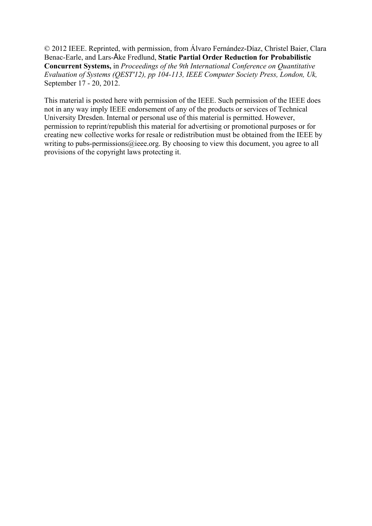© 2012 IEEE. Reprinted, with permission, from Álvaro Fernández-Díaz, Christel Baier, Clara Benac-Earle, and Lars-Åke Fredlund, **Static Partial Order Reduction for Probabilistic Concurrent Systems,** in *Proceedings of the 9th International Conference on Quantitative Evaluation of Systems (QEST'12), pp 104-113, IEEE Computer Society Press, London, Uk,*  September 17 - 20, 2012.

This material is posted here with permission of the IEEE. Such permission of the IEEE does not in any way imply IEEE endorsement of any of the products or services of Technical University Dresden. Internal or personal use of this material is permitted. However, permission to reprint/republish this material for advertising or promotional purposes or for creating new collective works for resale or redistribution must be obtained from the IEEE by writing to pubs-permissions@ieee.org. By choosing to view this document, you agree to all provisions of the copyright laws protecting it.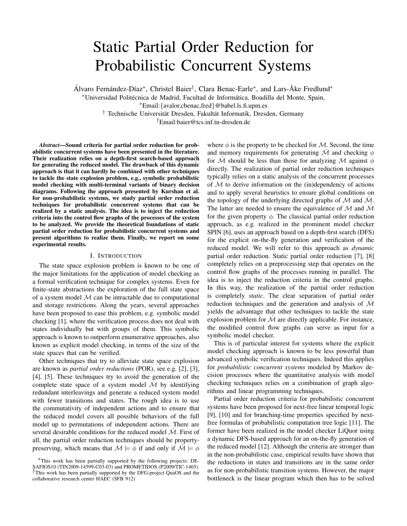# Static Partial Order Reduction for Probabilistic Concurrent Systems

Álvaro Fernández-Díaz\*, Christel Baier<sup>†</sup>, Clara Benac-Earle\*, and Lars-Åke Fredlund\*

\*Universidad Politécnica de Madrid, Facultad de Informática, Boadilla del Monte, Spain,

<sup>∗</sup>Email:{avalor,cbenac,fred}@babel.ls.fi.upm.es

† Technische Universität Dresden, Fakultät Informatik, Dresden, Germany

†Email:baier@tcs.inf.tu-dresden.de

*Abstract*—Sound criteria for partial order reduction for probabilistic concurrent systems have been presented in the literature. Their realization relies on a depth-first search-based approach for generating the reduced model. The drawback of this dynamic approach is that it can hardly be combined with other techniques to tackle the state explosion problem, e.g., symbolic probabilistic model checking with multi-terminal variants of binary decision diagrams. Following the approach presented by Kurshan et al. for non-probabilistic systems, we study partial order reduction techniques for probabilistic concurrent systems that can be realized by a static analysis. The idea is to inject the reduction criteria into the control flow graphs of the processes of the system to be analyzed. We provide the theoretical foundations of static partial order reduction for probabilistic concurrent systems and present algorithms to realize them. Finally, we report on some experimental results.

## I. INTRODUCTION

The state space explosion problem is known to be one of the major limitations for the application of model checking as a formal verification technique for complex systems. Even for finite-state abstractions the exploration of the full state space of a system model  $M$  can be intractable due to computational and storage restrictions. Along the years, several approaches have been proposed to ease this problem, e.g. symbolic model checking [1], where the verification process does not deal with states individually but with groups of them. This symbolic approach is known to outperform enumerative approaches, also known as explicit model checking, in terms of the size of the state spaces that can be verified.

Other techniques that try to alleviate state space explosion are known as *partial order reductions* (POR), see e.g. [2], [3], [4], [5]. These techniques try to avoid the generation of the complete state space of a system model  $M$  by identifying redundant interleavings and generate a reduced system model with fewer transitions and states. The rough idea is to use the commutativity of independent actions and to ensure that the reduced model covers all possible behaviors of the full model up to permutations of independent actions. There are several desirable conditions for the reduced model  $\hat{\mathcal{M}}$ . First of all, the partial order reduction techniques should be propertypreserving, which means that  $\mathcal{M} \models \phi$  if and only if  $\mathcal{M} \models \phi$  where  $\phi$  is the property to be checked for M. Second, the time and memory requirements for generating  $\mathcal M$  and checking  $\phi$ for  $\overline{\mathcal{M}}$  should be less than those for analyzing  $\mathcal M$  against  $\phi$ directly. The realization of partial order reduction techniques typically relies on a static analysis of the concurrent processes of  $M$  to derive information on the (in)dependency of actions and to apply several heuristics to ensure global conditions on the topology of the underlying directed graphs of  $M$  and  $\hat{M}$ . The latter are needed to ensure the equivalence of  $M$  and  $\overline{M}$ for the given property  $\phi$ . The classical partial order reduction approach, as e.g. realized in the prominent model checker SPIN [6], uses an approach based on a depth-first search (DFS) for the explicit on-the-fly generation and verification of the reduced model. We will refer to this approach as *dynamic* partial order reduction. Static partial order reduction [7], [8] completely relies on a preprocessing step that operates on the control flow graphs of the processes running in parallel. The idea is to inject the reduction criteria in the control graphs. In this way, the realization of the partial order reduction is completely *static*. The clear separation of partial order reduction techniques and the generation and analysis of  $\mathcal M$ yields the advantage that other techniques to tackle the state explosion problem for  $\mathcal M$  are directly applicable. For instance, the modified control flow graphs can serve as input for a symbolic model checker.

This is of particular interest for systems where the explicit model checking approach is known to be less powerful than advanced symbolic verification techniques. Indeed this applies for *probabilistic concurrent systems* modeled by Markov decision processes where the quantitative analysis with model checking techniques relies on a combination of graph algorithms and linear programming techniques.

Partial order reduction criteria for probabilistic concurrent systems have been proposed for next-free linear temporal logic [9], [10] and for branching-time properties specified by nextfree formulas of probabilistic computation tree logic [11]. The former have been realized in the model checker LiQuor using a dynamic DFS-based approach for an on-the-fly generation of the reduced model [12]. Although the criteria are stronger than in the non-probabilistic case, empirical results have shown that the reductions in states and transitions are in the same order as for non-probabilistic transition systems. However, the major bottleneck is the linear program which then has to be solved

<sup>∗</sup>This work has been partially supported by the following projects: DE-SAFIOS10 (TIN2009-14599-C03-03) and PROMETIDOS (P2009/TIC-1465). †This work has been partially supported by the DFG-project QuaOS and the collaborative research center HAEC (SFB 912)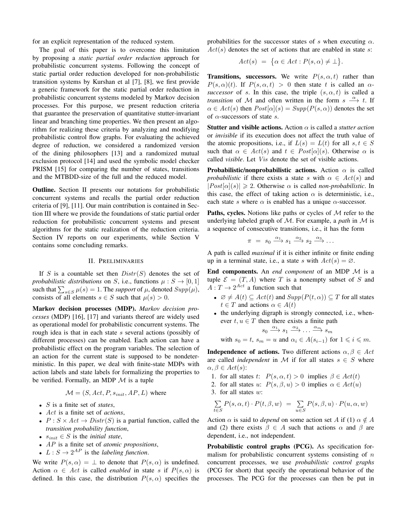for an explicit representation of the reduced system.

The goal of this paper is to overcome this limitation by proposing a *static partial order reduction* approach for probabilistic concurrent systems. Following the concept of static partial order reduction developed for non-probabilistic transition systems by Kurshan et al [7], [8], we first provide a generic framework for the static partial order reduction in probabilistic concurrent systems modeled by Markov decision processes. For this purpose, we present reduction criteria that guarantee the preservation of quantitative stutter-invariant linear and branching time properties. We then present an algorithm for realizing these criteria by analyzing and modifying probabilistic control flow graphs. For evaluating the achieved degree of reduction, we considered a randomized version of the dining philosophers [13] and a randomized mutual exclusion protocol [14] and used the symbolic model checker PRISM [15] for comparing the number of states, transitions and the MTBDD-size of the full and the reduced model.

Outline. Section II presents our notations for probabilistic concurrent systems and recalls the partial order reduction criteria of [9], [11]. Our main contribution is contained in Section III where we provide the foundations of static partial order reduction for probabilistic concurrent systems and present algorithms for the static realization of the reduction criteria. Section IV reports on our experiments, while Section V contains some concluding remarks.

# II. PRELIMINARIES

If S is a countable set then  $Distr(S)$  denotes the set of *probabilistic distributions* on *S*, i.e., functions  $\mu : S \rightarrow [0, 1]$ such that  $\sum_{s \in S} \mu(s) = 1$ . The *support* of  $\mu$ , denoted  $Supp(\mu)$ , consists of all elements  $s \in S$  such that  $\mu(s) > 0$ .

Markov decision processes (MDP). *Markov decision processes* (MDP) [16], [17] and variants thereof are widely used as operational model for probabilistic concurrent systems. The rough idea is that in each state s several actions (possibly of different processes) can be enabled. Each action can have a probabilistic effect on the program variables. The selection of an action for the current state is supposed to be nondeterministic. In this paper, we deal with finite-state MDPs with action labels and state labels for formalizing the properties to be verified. Formally, an MDP  $\mathcal M$  is a tuple

$$
\mathcal{M} = (S, Act, P, s_{init}, AP, L)
$$
 where

- S is a finite set of *states*,
- Act is a finite set of *actions*,
- $P: S \times Act \rightarrow Distr(S)$  is a partial function, called the *transition probability function*,
- $s_{init} \in S$  is the *initial state*,
- AP is a finite set of *atomic propositions*,
- $L: S \to 2^{AP}$  is the *labeling function*.

We write  $P(s, \alpha) = \perp$  to denote that  $P(s, \alpha)$  is undefined. Action  $\alpha \in Act$  is called *enabled* in state s if  $P(s, \alpha)$  is defined. In this case, the distribution  $P(s, \alpha)$  specifies the probabilities for the successor states of s when executing  $\alpha$ .  $Act(s)$  denotes the set of actions that are enabled in state s:

$$
Act(s) = \{\alpha \in Act : P(s, \alpha) \neq \bot\}.
$$

**Transitions, successors.** We write  $P(s, \alpha, t)$  rather than  $P(s, \alpha)(t)$ . If  $P(s, \alpha, t) > 0$  then state t is called an  $\alpha$ *successor* of s. In this case, the triple  $(s, \alpha, t)$  is called a *transition* of M and often written in the form  $s \stackrel{\alpha}{\longrightarrow} t$ . If  $\alpha \in \text{Act}(s)$  then  $\text{Post}[\alpha](s) = \text{Supp}(P(s, \alpha))$  denotes the set of  $\alpha$ -successors of state s.

Stutter and visible actions. Action α is called a *stutter action* or *invisible* if its execution does not affect the truth value of the atomic propositions, i.e., if  $L(s) = L(t)$  for all  $s, t \in S$ such that  $\alpha \in \text{Act}(s)$  and  $t \in \text{Post}[\alpha](s)$ . Otherwise  $\alpha$  is called *visible*. Let Vis denote the set of visible actions.

**Probabilistic/nonprobabilistic actions.** Action  $\alpha$  is called *probabilistic* if there exists a state s with  $\alpha \in \text{Act}(s)$  and  $|Post[\alpha](s)| \ge 2$ . Otherwise  $\alpha$  is called *non-probabilistic*. In this case, the effect of taking action  $\alpha$  is deterministic, i.e., each state s where  $\alpha$  is enabled has a unique  $\alpha$ -successor.

**Paths, cycles.** Notions like paths or cycles of  $M$  refer to the underlying labeled graph of M. For example, a *path* in M is a sequence of consecutive transitions, i.e., it has the form

$$
\pi = s_0 \xrightarrow{\alpha_1} s_1 \xrightarrow{\alpha_2} s_2 \xrightarrow{\alpha_3} \dots
$$

A path is called *maximal* if it is either infinite or finite ending up in a terminal state, i.e., a state s with  $Act(s) = \emptyset$ .

End components. An *end component* of an MDP M is a tuple  $\mathcal{E} = (T, A)$  where T is a nonempty subset of S and  $A: T \to 2^{Act}$  a function such that

- $\varnothing \neq A(t) \subseteq \text{Act}(t)$  and  $\text{Supp}(P(t, \alpha)) \subseteq T$  for all states  $t \in T$  and actions  $\alpha \in A(t)$
- the underlying digraph is strongly connected, i.e., whenever  $t, u \in T$  then there exists a finite path

$$
s_0 \xrightarrow{\alpha_1} s_1 \xrightarrow{\alpha_2} \dots \xrightarrow{\alpha_m} s_m
$$
  
with  $s_0 = t$ ,  $s_m = u$  and  $\alpha_i \in A(s_{i-1})$  for  $1 \le i \le m$ .

**Independence of actions.** Two different actions  $\alpha, \beta \in Act$ are called *independent* in M if for all states  $s \in S$  where  $\alpha, \beta \in Act(s)$ :

- 1. for all states t:  $P(s, \alpha, t) > 0$  implies  $\beta \in Act(t)$
- 2. for all states u:  $P(s, \beta, u) > 0$  implies  $\alpha \in Act(u)$
- 3. for all states w:

$$
\sum_{t \in S} P(s, \alpha, t) \cdot P(t, \beta, w) = \sum_{u \in S} P(s, \beta, u) \cdot P(u, \alpha, w)
$$

Action  $\alpha$  is said to *depend* on some action set A if (1)  $\alpha \notin A$ and (2) there exists  $\beta \in A$  such that actions  $\alpha$  and  $\beta$  are dependent, i.e., not independent.

Probabilistic control graphs (PCG). As specification formalism for probabilistic concurrent systems consisting of  $n$ concurrent processes, we use *probabilistic control graphs* (PCG for short) that specify the operational behavior of the processes. The PCG for the processes can then be put in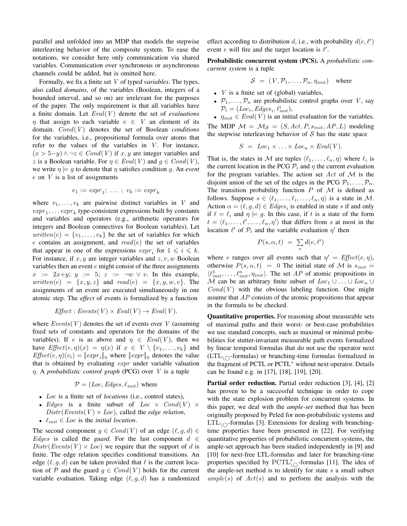parallel and unfolded into an MDP that models the stepwise interleaving behavior of the composite system. To ease the notations, we consider here only communication via shared variables. Communication over synchronous or asynchronous channels could be added, but is omitted here.

Formally, we fix a finite set V of typed *variables*. The types, also called *domains*, of the variables (Boolean, integers of a bounded interval, and so on) are irrelevant for the purposes of the paper. The only requirement is that all variables have a finite domain. Let  $Eval(V)$  denote the set of *evaluations*  $\eta$  that assign to each variable  $v \in V$  an element of its domain. Cond(V) denotes the set of Boolean *conditions* for the variables, i.e., propositional formula over atoms that refer to the values of the variables in  $V$ . For instance,  $(x > 5-y) \land \neg z \in Cond(V)$  if x, y are integer variables and z is a Boolean variable. For  $\eta \in \text{Eval}(V)$  and  $g \in \text{Cond}(V)$ , we write  $\eta \models q$  to denote that  $\eta$  satisfies condition q. An *event*  $e$  on  $V$  is a list of assignments

$$
v_1 := \exp r_1; \ \ldots \ ; \ v_k := \exp r_k
$$

where  $v_1, \ldots, v_k$  are pairwise distinct variables in V and  $expr_1, \ldots expr_k$  type-consistent expressions built by constants and variables and operators (e.g., arithmetic operators for integers and Boolean connectives for Boolean variables). Let  $written(e) = \{v_1, \ldots, v_k\}$  be the set of variables for which  $e$  contains an assignment, and  $read(e)$  the set of variables that appear in one of the expressions  $\exp r_i$  for  $1 \leq i \leq k$ . For instance, if  $x, y$  are integer variables and  $z, v, w$  Boolean variables then an event  $e$  might consist of the three assignments  $x := 2x+y$ ;  $y := 5$ ;  $z := \neg w \lor v$ . In this example, written(e) =  $\{x, y, z\}$  and read(e) =  $\{x, y, w, v\}$ . The assignments of an event are executed simultaneously in one atomic step. The *effect* of events is formalized by a function

$$
Effect: Events(V) \times eval(V) \rightarrow eval(V).
$$

where  $Events(V)$  denotes the set of events over V (assuming fixed sets of constants and operators for the domains of the variables). If e is as above and  $\eta \in \text{Eval}(V)$ , then we have  $Effect(e, \eta)(x) = \eta(x)$  if  $x \in V \setminus \{v_1, \ldots, v_k\}$  and  $Effect(e, \eta)(v_i) = ||expr_i||_{\eta}$  where  $||expr||_{\eta}$  denotes the value that is obtained by evaluating  $expr$  under variable valuation η. A *probabilistic control graph* (PCG) over V is a tuple

$$
\mathcal{P} = (Loc, Edges, \ell_{init}) \text{ where}
$$

- Loc is a finite set of *locations* (i.e., control states),
- Edges is a finite subset of  $Loc \times Cond(V)$  $Distr(Events(V) \times Loc)$ , called the *edge relation*,
- $\ell_{init} \in Loc$  is the *initial location*.

The second component  $g \in Cond(V)$  of an edge  $(\ell, g, d) \in$ Edges is called the *guard*. For the last component  $d \in$  $Distr(Events(V) \times Loc)$  we require that the support of d is finite. The edge relation specifies conditional transitions. An edge  $(\ell, q, d)$  can be taken provided that  $\ell$  is the current location of P and the guard  $g \in Cond(V)$  holds for the current variable evaluation. Taking edge  $(\ell, g, d)$  has a randomized effect according to distribution d, i.e., with probability  $d(e, l')$ event  $e$  will fire and the target location is  $\ell'$ .

Probabilistic concurrent system (PCS). A *probabilistic concurrent system* is a tuple

$$
S = (V, \mathcal{P}_1, \dots, \mathcal{P}_n, \eta_{init})
$$
 where

- $V$  is a finite set of (global) variables,
- $\mathcal{P}_1, \ldots, \mathcal{P}_n$  are probabilistic control graphs over V, say  $\mathcal{P}_i = (Loc_i, Edges_i, \ell_{init}^i),$
- $\eta_{init} \in \text{Eval}(V)$  is an initial evaluation for the variables. The MDP  $\mathcal{M} = \mathcal{M}_{\mathcal{S}} = (S, Act, P, s_{init}, AP, L)$  modeling

the stepwise interleaving behavior of  $S$  has the state space

$$
S = Loc_1 \times \ldots \times Loc_n \times eval(V).
$$

That is, the states in M are tuples  $\langle \ell_1, \ldots, \ell_n, \eta \rangle$  where  $\ell_i$  is the current location in the PCG  $P_i$  and  $\eta$  the current evaluation for the program variables. The action set  $Act$  of  $M$  is the disjoint union of the set of the edges in the PCG  $P_1, \ldots, P_n$ . The transition probability function  $P$  of  $M$  is defined as follows. Suppose  $s \in \langle \ell_1, \ldots, \ell_i, \ldots, \ell_n, \eta \rangle$  is a state in M. Action  $\alpha = (\ell, g, d) \in Edges_i$  is enabled in state s if and only if  $\ell = \ell_i$  and  $\eta \models g$ . In this case, if t is a state of the form  $t = \langle \ell_1, \ldots, \ell', \ldots, \ell_n, \eta' \rangle$  that differs from s at most in the location  $\ell'$  of  $\mathcal{P}_i$  and the variable evaluation  $\eta'$  then

$$
P(s, \alpha, t) = \sum_{e} d(e, \ell')
$$

where e ranges over all events such that  $\eta' = \text{Effect}(e, \eta)$ , otherwise  $P(s, \alpha, t) = 0$  The initial state of M is  $s_{init} =$  $\langle \ell_{init}^1, \ldots, \ell_{init}^n, \eta_{init} \rangle$ . The set AP of atomic propositions in M can be an arbitrary finite subset of  $Loc_1 \cup ... \cup Loc_n \cup$  $Cond(V)$  with the obvious labeling function. One might assume that  $AP$  consists of the atomic propositions that appear in the formula to be checked.

Quantitative properties. For reasoning about measurable sets of maximal paths and their worst- or best-case probabilities we use standard concepts, such as maximal or minimal probabilities for stutter-invariant measurable path events formalized by linear temporal formulas that do not use the operator next  $(LTL_{\cap}$ -formulas) or branching-time formulas formalized in the fragment of PCTL or PCTL<sup>∗</sup> without next operator. Details can be found e.g. in [17], [18], [19], [20].

Partial order reduction. Partial order reduction [3], [4], [2] has proven to be a successful technique in order to cope with the state explosion problem for concurrent systems. In this paper, we deal with the *ample-set* method that has been originally proposed by Peled for non-probabilistic systems and  $LTL_{\cap}$ -formulas [3]. Extensions for dealing with branchingtime properties have been presented in [22]. For verifying quantitative properties of probabilistic concurrent systems, the ample-set approach has been studied independently in [9] and [10] for next-free LTL-formulas and later for branching-time properties specified by  $\text{PCTL}^*_{\setminus\bigcirc}$ -formulas [11]. The idea of the ample-set method is to identify for state  $s$  a small subset  $ample(s)$  of  $Act(s)$  and to perform the analysis with the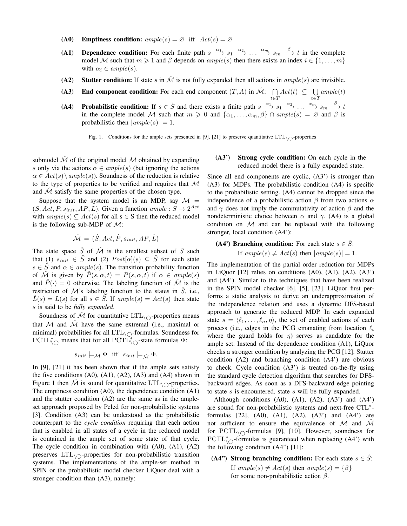- (A0) Emptiness condition:  $ample(s) = \emptyset$  iff  $Act(s) = \emptyset$
- (A1) Dependence condition: For each finite path  $s \xrightarrow{\alpha_1} s_1 \xrightarrow{\alpha_2} \dots \xrightarrow{\alpha_m} s_m \xrightarrow{\beta} t$  in the complete model M such that  $m \geq 1$  and  $\beta$  depends on ample(s) then there exists an index  $i \in \{1, \ldots, m\}$ with  $\alpha_i \in ample(s)$ .
- (A2) Stutter condition: If state s in  $\hat{\mathcal{M}}$  is not fully expanded then all actions in ample(s) are invisible.
- (A3) End component condition: For each end component  $(T, A)$  in  $\mathcal{M}$ :  $\bigcap$  $Act(t) \subseteq \bigcup$  $ample(t)$
- (A4) Probabilistic condition: If  $s \in \hat{S}$  and there exists a finite path  $s \xrightarrow{\alpha_1} s_1 \xrightarrow{\alpha_2} \dots \xrightarrow{\alpha_m} s_m \xrightarrow{\beta} t$ in the complete model M such that  $m \geq 0$  and  $\{\alpha_1, \dots, \alpha_m, \beta\} \cap ample(s) = \emptyset$  and  $\beta$  is probabilistic then  $\vert ample(s) \vert = 1$ .

Fig. 1. Conditions for the ample sets presented in [9], [21] to preserve quantitative  $LTL_{\wedge}$ -properties

submodel  $\hat{\mathcal{M}}$  of the original model  $\hat{\mathcal{M}}$  obtained by expanding s only via the actions  $\alpha \in ample(s)$  (but ignoring the actions  $\alpha \in \text{Act}(s) \setminus \text{ample}(s)$ . Soundness of the reduction is relative to the type of properties to be verified and requires that M and  $\hat{\mathcal{M}}$  satisfy the same properties of the chosen type.

Suppose that the system model is an MDP, say  $\mathcal{M}$  =  $(S, Act, P, s_{init}, AP, L)$ . Given a function  $ample: S \rightarrow 2^{Act}$ with  $ample(s) \subseteq Act(s)$  for all  $s \in S$  then the reduced model is the following sub-MDP of  $M$ :

$$
\hat{\mathcal{M}} \,=\, (\hat{S}, Act, \hat{P}, s_{init}, AP, \hat{L})
$$

The state space  $\hat{S}$  of  $\hat{\mathcal{M}}$  is the smallest subset of S such that (1)  $s_{init} \in \hat{S}$  and (2)  $Post[\alpha](s) \subseteq \hat{S}$  for each state  $s \in \hat{S}$  and  $\alpha \in ample(s)$ . The transition probability function of M is given by  $P(s, \alpha, t) = P(s, \alpha, t)$  if  $\alpha \in ample(s)$ and  $\hat{P}(\cdot) = 0$  otherwise. The labeling function of  $\hat{\mathcal{M}}$  is the restriction of  $\mathcal{M}$ 's labeling function to the states in  $S$ , i.e.,  $\hat{L}(s) = L(s)$  for all  $s \in \hat{S}$ . If  $ample(s) = Act(s)$  then state s is said to be *fully expanded*.

Soundness of  $\hat{\mathcal{M}}$  for quantitative  $LTL_{\setminus\bigcirc}$ -properties means that M and  $\hat{\mathcal{M}}$  have the same extremal (i.e., maximal or minimal) probabilities for all  $LTL_{\cap}$ -formulas. Soundness for  $PCTL_{\setminus\bigcirc}^*$  means that for all  $PCTL_{\setminus\bigcirc}^*$ -state formulas  $\Phi$ :

$$
s_{init} \models_{\mathcal{M}} \Phi \text{ iff } s_{init} \models_{\hat{\mathcal{M}}} \Phi.
$$

In [9], [21] it has been shown that if the ample sets satisfy the five conditions  $(A0)$ ,  $(A1)$ ,  $(A2)$ ,  $(A3)$  and  $(A4)$  shown in Figure 1 then  $\hat{\mathcal{M}}$  is sound for quantitative LTL<sub>\ $\cap$ </sub>-properties. The emptiness condition (A0), the dependence condition (A1) and the stutter condition (A2) are the same as in the ampleset approach proposed by Peled for non-probabilistic systems [3]. Condition (A3) can be understood as the probabilistic counterpart to the *cycle condition* requiring that each action that is enabled in all states of a cycle in the reduced model is contained in the ample set of some state of that cycle. The cycle condition in combination with (A0), (A1), (A2) preserves  $LTL_{\Omega}$ -properties for non-probabilistic transition systems. The implementations of the ample-set method in SPIN or the probabilistic model checker LiQuor deal with a stronger condition than (A3), namely:

# (A3') Strong cycle condition: On each cycle in the reduced model there is a fully expanded state.

t∈T

t∈T

Since all end components are cyclic, (A3') is stronger than (A3) for MDPs. The probabilistic condition (A4) is specific to the probabilistic setting. (A4) cannot be dropped since the independence of a probabilistic action  $\beta$  from two actions  $\alpha$ and  $\gamma$  does not imply the commutativity of action  $\beta$  and the nondeterministic choice between  $\alpha$  and  $\gamma$ . (A4) is a global condition on  $M$  and can be replaced with the following stronger, local condition (A4'):

# (A4') Branching condition: For each state  $s \in \hat{S}$ :

If  $ample(s) \neq Act(s)$  then  $|ample(s)| = 1$ .

The implementation of the partial order reduction for MDPs in LiQuor  $[12]$  relies on conditions  $(A0)$ ,  $(A1)$ ,  $(A2)$ ,  $(A3')$ and (A4'). Similar to the techniques that have been realized in the SPIN model checker [6], [5], [23], LiQuor first performs a static analysis to derive an underapproximation of the independence relation and uses a dynamic DFS-based approach to generate the reduced MDP. In each expanded state  $s = \langle \ell_1, \ldots, \ell_n, \eta \rangle$ , the set of enabled actions of each process (i.e., edges in the PCG emanating from location  $\ell_i$ where the guard holds for  $\eta$ ) serves as candidate for the ample set. Instead of the dependence condition (A1), LiQuor checks a stronger condition by analyzing the PCG [12]. Stutter condition (A2) and branching condition (A4') are obvious to check. Cycle condition (A3') is treated on-the-fly using the standard cycle detection algorithm that searches for DFSbackward edges. As soon as a DFS-backward edge pointing to state s is encountered, state s will be fully expanded.

Although conditions  $(A0)$ ,  $(A1)$ ,  $(A2)$ ,  $(A3')$  and  $(A4')$ are sound for non-probabilistic systems and next-free CTL<sup>\*</sup>formulas  $[22]$ ,  $(A0)$ ,  $(A1)$ ,  $(A2)$ ,  $(A3')$  and  $(A4')$  are not sufficient to ensure the equivalence of M and  $\hat{\mathcal{M}}$ for  $PCTL_{\setminus\bigcirc}$ -formulas [9], [10]. However, soundness for  $PCTL^*_{\setminus\bigcirc}$ -formulas is guaranteed when replacing (A4') with the following condition  $(A4)$ <sup>"</sup>) [11]:

# (A4") Strong branching condition: For each state  $s \in \tilde{S}$ :

If  $ample(s) \neq Act(s)$  then  $ample(s) = \{\beta\}$ for some non-probabilistic action  $\beta$ .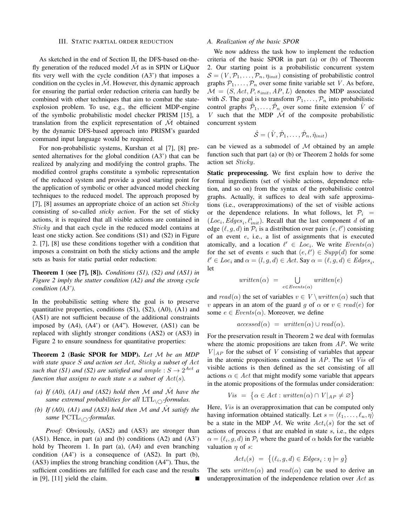#### III. STATIC PARTIAL ORDER REDUCTION

As sketched in the end of Section II, the DFS-based on-thefly generation of the reduced model  $\mathcal M$  as in SPIN or LiQuor fits very well with the cycle condition (A3') that imposes a condition on the cycles in  $\hat{\mathcal{M}}$ . However, this dynamic approach for ensuring the partial order reduction criteria can hardly be combined with other techniques that aim to combat the stateexplosion problem. To use, e.g., the efficient MDP-engine of the symbolic probabilistic model checker PRISM [15], a translation from the explicit representation of  $M$  obtained by the dynamic DFS-based approach into PRISM's guarded command input language would be required.

For non-probabilistic systems, Kurshan et al [7], [8] presented alternatives for the global condition (A3') that can be realized by analyzing and modifying the control graphs. The modified control graphs constitute a symbolic representation of the reduced system and provide a good starting point for the application of symbolic or other advanced model checking techniques to the reduced model. The approach proposed by [7], [8] assumes an appropriate choice of an action set  $Sticky$ consisting of so-called *sticky action*. For the set of sticky actions, it is required that all visible actions are contained in Sticky and that each cycle in the reduced model contains at least one sticky action. See conditions (S1) and (S2) in Figure 2. [7], [8] use these conditions together with a condition that imposes a constraint on both the sticky actions and the ample sets as basis for static partial order reduction:

Theorem 1 (see [7], [8]). *Conditions (S1), (S2) and (AS1) in Figure 2 imply the stutter condition (A2) and the strong cycle condition (A3').*

In the probabilistic setting where the goal is to preserve quantitative properties, conditions (S1), (S2), (A0), (A1) and (AS1) are not sufficient because of the additional constraints imposed by  $(A4)$ ,  $(A4')$  or  $(A4'')$ . However,  $(AS1)$  can be replaced with slightly stronger conditions (AS2) or (AS3) in Figure 2 to ensure soundness for quantitative properties:

Theorem 2 (Basic SPOR for MDP). *Let* M *be an MDP with state space* S *and action set* Act*,* Sticky *a subset of* Act such that (S1) and (S2) are satisfied and  $ample: S \rightarrow 2^{Act}$  a *function that assigns to each state* s *a subset of* Act(s)*.*

- *(a) If (A0), (A1) and (AS2) hold then*  $M$  *and*  $\hat{M}$  *have the same extremal probabilities for all*  $LTL_{\cap}$ *-formulas.*
- *(b)* If (A0), (A1) and (AS3) hold then M and  $\hat{M}$  satisfy the *same* PCTL\ *-formulas.*

*Proof:* Obviously, (AS2) and (AS3) are stronger than (AS1). Hence, in part (a) and (b) conditions (A2) and (A3') hold by Theorem 1. In part (a), (A4) and even branching condition (A4') is a consequence of (AS2). In part (b), (AS3) implies the strong branching condition (A4"). Thus, the sufficient conditions are fulfilled for each case and the results in [9], [11] yield the claim.

#### *A. Realization of the basic SPOR*

We now address the task how to implement the reduction criteria of the basic SPOR in part (a) or (b) of Theorem 2. Our starting point is a probabilistic concurrent system  $S = (V, P_1, \dots, P_n, \eta_{init})$  consisting of probabilistic control graphs  $P_1, \ldots, P_n$  over some finite variable set V. As before,  $M = (S, Act, P, s_{init}, AP, L)$  denotes the MDP associated with S. The goal is to transform  $P_1, \ldots, P_n$  into probabilistic control graphs  $\hat{\mathcal{P}}_1, \ldots, \hat{\mathcal{P}}_n$  over some finite extension  $\hat{V}$  of V such that the MDP  $\hat{\mathcal{M}}$  of the composite probabilistic concurrent system

$$
\hat{\mathcal{S}} = (\hat{V}, \hat{\mathcal{P}}_1, \dots, \hat{\mathcal{P}}_n, \hat{\eta}_{init})
$$

can be viewed as a submodel of  $M$  obtained by an ample function such that part (a) or (b) or Theorem 2 holds for some action set Sticky.

Static preprocessing. We first explain how to derive the formal ingredients (set of visible actions, dependence relation, and so on) from the syntax of the probabilistic control graphs. Actually, it suffices to deal with safe approximations (i.e., overapproximations) of the set of visible actions or the dependence relations. In what follows, let  $\mathcal{P}_i$  =  $(Loc<sub>i</sub>, Edges<sub>i</sub>, l<sup>i</sup><sub>init</sub>)$ . Recall that the last component d of an edge  $(\ell, g, d)$  in  $\mathcal{P}_i$  is a distribution over pairs  $(e, \ell')$  consisting of an event  $e$ , i.e., a list of assignments that is executed atomically, and a location  $\ell' \in Loc_i$ . We write  $Events(\alpha)$ for the set of events e such that  $(e, \ell') \in Supp(d)$  for some  $\ell' \in Loc_{i}$  and  $\alpha = (l, g, d) \in Act$ . Say  $\alpha = (\ell, g, d) \in Edges_{i}$ , let

$$
written (\alpha) = \bigcup_{e \in Events(\alpha)} written(e)
$$

and  $read(\alpha)$  the set of variables  $v \in V \setminus written(\alpha)$  such that v appears in an atom of the guard q of  $\alpha$  or  $v \in read(e)$  for some  $e \in Events(\alpha)$ . Moreover, we define

$$
accessed(\alpha) = written(\alpha) \cup read(\alpha).
$$

For the preservation result in Theorem 2 we deal with formulas where the atomic propositions are taken from  $AP$ . We write  $V|_{AP}$  for the subset of V consisting of variables that appear in the atomic propositions contained in  $AP$ . The set *Vis* of visible actions is then defined as the set consisting of all actions  $\alpha \in Act$  that might modify some variable that appears in the atomic propositions of the formulas under consideration:

$$
Vis = \{ \alpha \in Act : written(\alpha) \cap V|_{AP} \neq \varnothing \}
$$

Here, *Vis* is an overapproximation that can be computed only having information obtained statically. Let  $s = \langle \ell_1, \ldots, \ell_n, \eta \rangle$ be a state in the MDP M. We write  $Act_i(s)$  for the set of actions of process  $i$  that are enabled in state  $s$ , i.e., the edges  $\alpha = (\ell_i, g, d)$  in  $\mathcal{P}_i$  where the guard of  $\alpha$  holds for the variable valuation  $\eta$  of s:

$$
Act_i(s) = \{ (\ell_i, g, d) \in Edges_i : \eta \models g \}
$$

The sets written( $\alpha$ ) and read( $\alpha$ ) can be used to derive an underapproximation of the independence relation over  $Act$  as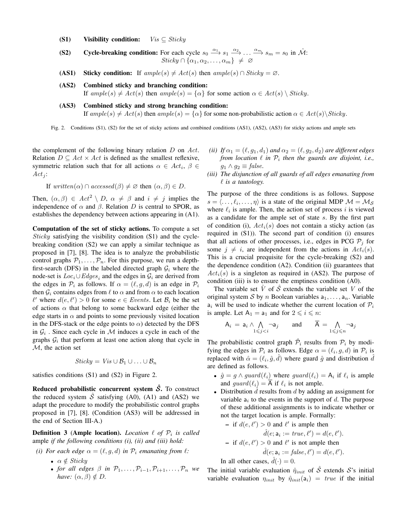- (S1) Visibility condition:  $Vis \subseteq Sticky$
- (S2) Cycle-breaking condition: For each cycle  $s_0 \xrightarrow{\alpha_1} s_1 \xrightarrow{\alpha_2} \dots \xrightarrow{\alpha_m} s_m = s_0$  in  $\hat{\mathcal{M}}$ :  $Sticky \cap {\alpha_1, \alpha_2, \ldots, \alpha_m} \neq \emptyset$
- (AS1) Sticky condition: If  $ample(s) \neq Act(s)$  then  $ample(s) \cap Sticky = \emptyset$ .
- (AS2) Combined sticky and branching condition:

If  $ample(s) \neq Act(s)$  then  $ample(s) = {\alpha}$  for some action  $\alpha \in Act(s) \setminus Sticky$ .

(AS3) Combined sticky and strong branching condition: If ample(s)  $\neq$  Act(s) then ample(s) = { $\alpha$ } for some non-probabilistic action  $\alpha \in$  Act(s)\Sticky.

Fig. 2. Conditions (S1), (S2) for the set of sticky actions and combined conditions (AS1), (AS2), (AS3) for sticky actions and ample sets

the complement of the following binary relation  $D$  on  $Act$ . Relation  $D \subseteq Act \times Act$  is defined as the smallest reflexive, symmetric relation such that for all actions  $\alpha \in Act_i$ ,  $\beta \in$  $Act_j$ :

If 
$$
written(\alpha) \cap accessed(\beta) \neq \emptyset
$$
 then  $(\alpha, \beta) \in D$ .

Then,  $(\alpha, \beta) \in Act^2 \setminus D$ ,  $\alpha \neq \beta$  and  $i \neq j$  implies the independence of  $\alpha$  and  $\beta$ . Relation D is central to SPOR, as establishes the dependency between actions appearing in (A1).

Computation of the set of sticky actions. To compute a set Sticky satisfying the visibility condition (S1) and the cyclebreaking condition (S2) we can apply a similar technique as proposed in [7], [8]. The idea is to analyze the probabilistic control graphs  $P_1, \ldots, P_n$ . For this purpose, we run a depthfirst-search (DFS) in the labeled directed graph  $\mathcal{G}_i$  where the node-set is  $Loc_i \cup Edges_i$  and the edges in  $\mathcal{G}_i$  are derived from the edges in  $\mathcal{P}_i$  as follows. If  $\alpha = (\ell, g, d)$  is an edge in  $\mathcal{P}_i$ then  $\mathcal{G}_i$  contains edges from  $\ell$  to  $\alpha$  and from  $\alpha$  to each location  $\ell'$  where  $d(e, \ell') > 0$  for some  $e \in Events$ . Let  $\mathcal{B}_i$  be the set of actions  $\alpha$  that belong to some backward edge (either the edge starts in  $\alpha$  and points to some previously visited location in the DFS-stack or the edge points to  $\alpha$ ) detected by the DFS in  $G_i$ . Since each cycle in M induces a cycle in each of the graphs  $G_i$  that perform at least one action along that cycle in M, the action set

$$
Sticky = Vis \cup B_1 \cup ... \cup B_n
$$

satisfies conditions (S1) and (S2) in Figure 2.

Reduced probabilistic concurrent system  $\hat{S}$ . To construct the reduced system  $\hat{S}$  satisfying (A0), (A1) and (AS2) we adapt the procedure to modify the probabilistic control graphs proposed in [7], [8]. (Condition (AS3) will be addressed in the end of Section III-A.)

**Definition 3 (Ample location).** *Location*  $\ell$  *of*  $\mathcal{P}_i$  *is called* ample *if the following conditions (i), (ii) and (iii) hold:*

- *(i)* For each edge  $\alpha = (\ell, g, d)$  *in*  $\mathcal{P}_i$  *emanating from*  $\ell$ *:* 
	- $\alpha \notin \text{Sticky}$
	- *for all edges*  $\beta$  *in*  $\mathcal{P}_1, \ldots, \mathcal{P}_{i-1}, \mathcal{P}_{i+1}, \ldots, \mathcal{P}_n$  *we have:*  $(\alpha, \beta) \notin D$ .
- *(ii)* If  $\alpha_1 = (\ell, g_1, d_1)$  *and*  $\alpha_2 = (\ell, g_2, d_2)$  *are different edges from location*  $\ell$  *in*  $\mathcal{P}_i$  *then the guards are disjoint, i.e.,*  $g_1 \wedge g_2 \equiv \text{false}.$
- *(iii) The disjunction of all guards of all edges emanating from*  $\ell$  *is a tautology.*

The purpose of the three conditions is as follows. Suppose  $s = \langle \dots, \ell_i, \dots, \eta \rangle$  is a state of the original MDP  $\mathcal{M} = \mathcal{M}_{\mathcal{S}}$ where  $\ell_i$  is ample. Then, the action set of process i is viewed as a candidate for the ample set of state s. By the first part of condition (i),  $Act_i(s)$  does not contain a sticky action (as required in (S1)). The second part of condition (i) ensures that all actions of other processes, i.e., edges in PCG  $\mathcal{P}_i$  for some  $j \neq i$ , are independent from the actions in  $Act_i(s)$ . This is a crucial prequisite for the cycle-breaking (S2) and the dependence condition (A2). Condition (ii) guarantees that  $Act<sub>i</sub>(s)$  is a singleton as required in (AS2). The purpose of condition (iii) is to ensure the emptiness condition (A0).

The variable set  $V$  of  $S$  extends the variable set  $V$  of the original system S by n Boolean variables  $a_1, \ldots, a_n$ . Variable  $a_i$  will be used to indicate whether the current location of  $P_i$ is ample. Let  $A_1 = a_1$  and for  $2 \le i \le n$ :

$$
\mathsf{A}_i = \mathsf{a}_i \land \bigwedge_{1 \leqslant j < i} \neg \mathsf{a}_j \qquad \text{and} \qquad \overline{\mathsf{A}} = \bigwedge_{1 \leqslant j \leqslant n} \neg \mathsf{a}_j
$$

The probabilistic control graph  $\hat{\mathcal{P}}_i$  results from  $\mathcal{P}_i$  by modifying the edges in  $P_i$  as follows. Edge  $\alpha = (\ell_i, g, d)$  in  $P_i$  is replaced with  $\hat{\alpha} = (\ell_i, \hat{g}, \hat{d})$  where guard  $\hat{g}$  and distribution  $\hat{d}$ are defined as follows.

- $\hat{g} = g \wedge guard(\ell_i)$  where  $guard(\ell_i) = A_i$  if  $\ell_i$  is ample and  $guard(\ell_i) = A$  if  $\ell_i$  is not ample.
- Distribution  $\tilde{d}$  results from  $d$  by adding an assignment for variable  $a_i$  to the events in the support of d. The purpose of these additional assignments is to indicate whether or not the target location is ample. Formally:

\n- if 
$$
d(e, \ell') > 0
$$
 and  $\ell'$  is ample then
\n- $\hat{d}(e; a_i := true, \ell') = d(e, \ell').$
\n- if  $d(e, \ell') > 0$  and  $\ell'$  is not ample then
\n- $\hat{d}(e; a_i := false, \ell') = d(e, \ell').$
\n

In all other cases,  $\hat{d}(\cdot) = 0$ .

The initial variable evaluation  $\hat{\eta}_{init}$  of  $\hat{S}$  extends  $S$ 's initial variable evaluation  $\eta_{init}$  by  $\hat{\eta}_{init}(a_i) = true$  if the initial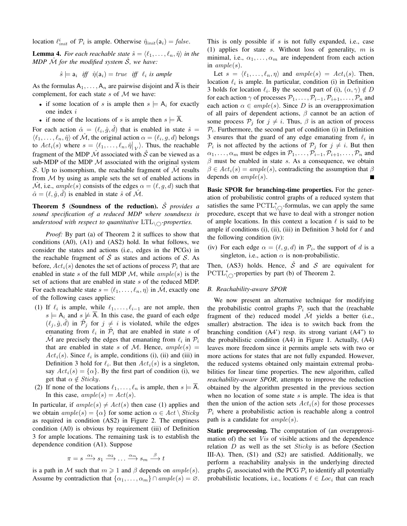location  $\ell_{init}^i$  of  $\mathcal{P}_i$  is ample. Otherwise  $\hat{\eta}_{init}(\mathsf{a}_i) = \text{false}$ .

**Lemma 4.** For each reachable state  $\hat{s} = \langle \ell_1, \ldots, \ell_n, \hat{\eta} \rangle$  in the *MDP*  $\hat{\mathcal{M}}$  *for the modified system*  $\hat{\mathcal{S}}$ *, we have:* 

$$
\hat{s} \models \mathsf{a}_i \ \ \textit{iff} \ \ \hat{\eta}(\mathsf{a}_i) = \textit{true} \ \ \textit{iff} \ \ \ell_i \ \textit{is ample}
$$

As the formulas  $A_1, \ldots, A_n$  are pairwise disjoint and  $\overline{A}$  is their complement, for each state  $s$  of  $M$  we have:

- if some location of s is ample then  $s \models A_i$  for exactly one index i
- if none of the locations of s is ample then  $s \models \overline{A}$ .

For each action  $\hat{\alpha} = (\ell_i, \hat{g}, \hat{d})$  that is enabled in state  $\hat{s} =$  $\langle \ell_1, \ldots, \ell_n, \hat{\eta} \rangle$  of  $\hat{\mathcal{M}}$ , the original action  $\alpha = (\ell_i, g, d)$  belongs to  $Act_i(s)$  where  $s = \langle \ell_1, \ldots, \ell_n, \hat{\eta} |_{V} \rangle$ . Thus, the reachable fragment of the MDP  $\hat{\mathcal{M}}$  associated with  $\hat{\mathcal{S}}$  can be viewed as a sub-MDP of the MDP  $M$  associated with the original system S. Up to isomorphism, the reachable fragment of  $\mathcal M$  results from  $M$  by using as ample sets the set of enabled actions in  $\mathcal{M}$ , i.e.,  $ample(s)$  consists of the edges  $\alpha = (\ell, q, d)$  such that  $\hat{\alpha} = (\ell, \hat{g}, \hat{d})$  is enabled in state  $\hat{s}$  of  $\hat{\mathcal{M}}$ .

**Theorem 5 (Soundness of the reduction).**  $\hat{\mathcal{S}}$  *provides a sound specification of a reduced MDP where soundness is understood with respect to quantitative*  $LTL_{\cap}$ *-properties.* 

*Proof:* By part (a) of Theorem 2 it suffices to show that conditions (A0), (A1) and (AS2) hold. In what follows, we consider the states and actions (i.e., edges in the PCGs) in the reachable fragment of  $\hat{S}$  as states and actions of  $\hat{S}$ . As before,  $Act_i(s)$  denotes the set of actions of process  $\mathcal{P}_i$  that are enabled in state s of the full MDP  $M$ , while  $ample(s)$  is the set of actions that are enabled in state s of the reduced MDP. For each reachable state  $s = \langle \ell_1, \ldots, \ell_n, \eta \rangle$  in  $\mathcal{M}$ , exactly one of the following cases applies:

- (1) If  $\ell_i$  is ample, while  $\ell_1, \ldots, \ell_{i-1}$  are not ample, then  $s \models A_i$  and  $s \not\models A$ . In this case, the guard of each edge  $(\ell_j, \hat{g}, \hat{d})$  in  $\hat{\mathcal{P}}_j$  for  $j \neq i$  is violated, while the edges emanating from  $\ell_i$  in  $\hat{\mathcal{P}}_i$  that are enabled in state s of  $\hat{\mathcal{M}}$  are precisely the edges that emanating from  $\ell_i$  in  $\mathcal{P}_i$ that are enabled in state s of M. Hence,  $ample(s)$  =  $Act_i(s)$ . Since  $\ell_i$  is ample, conditions (i), (ii) and (iii) in Definition 3 hold for  $\ell_i$ . But then  $Act_i(s)$  is a singleton, say  $Act_i(s) = {\alpha}$ . By the first part of condition (i), we get that  $\alpha \notin \text{Sticky}.$
- (2) If none of the locations  $\ell_1, \ldots, \ell_n$  is ample, then  $s \models A$ . In this case,  $ample(s) = Act(s)$ .

In particular, if  $ample(s) \neq Act(s)$  then case (1) applies and we obtain  $ample(s) = {\alpha}$  for some action  $\alpha \in Act \setminus Sticky$ as required in condition (AS2) in Figure 2. The emptiness condition (A0) is obvious by requirement (iii) of Definition 3 for ample locations. The remaining task is to establish the dependence condition (A1). Suppose

$$
\pi = s \xrightarrow{\alpha_1} s_1 \xrightarrow{\alpha_2} \dots \xrightarrow{\alpha_m} s_m \xrightarrow{\beta} t
$$

is a path in M such that  $m \geq 1$  and  $\beta$  depends on  $ample(s)$ . Assume by contradiction that  $\{\alpha_1, \dots, \alpha_m\} \cap ample(s) = \emptyset$ . This is only possible if s is not fully expanded, i.e., case (1) applies for state s. Without loss of generality,  $m$  is minimal, i.e.,  $\alpha_1, \ldots, \alpha_m$  are independent from each action in  $ample(s)$ .

Let  $s = \langle \ell_1, \ldots, \ell_n, \eta \rangle$  and  $ample(s) = Act_i(s)$ . Then, location  $\ell_i$  is ample. In particular, condition (i) in Definition 3 holds for location  $\ell_i$ . By the second part of (i),  $(\alpha, \gamma) \notin D$ for each action  $\gamma$  of processes  $\mathcal{P}_1, \ldots, \mathcal{P}_{i-1}, \mathcal{P}_{i+1}, \ldots, \mathcal{P}_n$  and each action  $\alpha \in ample(s)$ . Since D is an overapproximation of all pairs of dependent actions,  $\beta$  cannot be an action of some process  $P_i$  for  $j \neq i$ . Thus,  $\beta$  is an action of process  $P_i$ . Furthermore, the second part of condition (i) in Definition 3 ensures that the guard of any edge emanating from  $\ell_i$  in  $\mathcal{P}_i$  is not affected by the actions of  $\mathcal{P}_j$  for  $j \neq i$ . But then  $\alpha_1, \ldots, \alpha_m$  must be edges in  $\mathcal{P}_1, \ldots, \mathcal{P}_{i-1}, \mathcal{P}_{i+1}, \ldots, \mathcal{P}_n$  and  $\beta$  must be enabled in state s. As a consequence, we obtain  $\beta \in Act_i(s) = ample(s)$ , contradicting the assumption that  $\beta$ depends on  $ample(s)$ .

Basic SPOR for branching-time properties. For the generation of probabilistic control graphs of a reduced system that satisfies the same  $\text{PCTL}^*_{\text{LO}}$ -formulas, we can apply the same procedure, except that we have to deal with a stronger notion of ample locations. In this context a location  $\ell$  is said to be ample if conditions (i), (ii), (iii) in Definition 3 hold for  $\ell$  and the following condition (iv):

(iv) For each edge  $\alpha = (\ell, g, d)$  in  $\mathcal{P}_i$ , the support of d is a singleton, i.e., action  $\alpha$  is non-probabilistic.

Then, (AS3) holds. Hence,  $\hat{S}$  and  $S$  are equivalent for  $PCTL^*_{\setminus\bigcirc}$ -properties by part (b) of Theorem 2.

#### *B. Reachability-aware SPOR*

We now present an alternative technique for modifying the probabilistic control graphs  $P_i$  such that the (reachable fragment of the) reduced model  $\hat{M}$  yields a better (i.e., smaller) abstraction. The idea is to switch back from the branching condition (A4') resp. its strong variant (A4") to the probabilistic condition (A4) in Figure 1. Actually, (A4) leaves more freedom since it permits ample sets with two or more actions for states that are not fully expanded. However, the reduced systems obtained only maintain extremal probabilities for linear time properties. The new algorithm, called *reachability-aware SPOR*, attempts to improve the reduction obtained by the algorithm presented in the previous section when no location of some state  $s$  is ample. The idea is that then the union of the action sets  $Act_i(s)$  for those processes  $P_i$  where a probabilistic action is reachable along a control path is a candidate for  $ample(s)$ .

Static preprocessing. The computation of (an overapproximation of) the set Vis of visible actions and the dependence relation  $D$  as well as the set *Sticky* is as before (Section III-A). Then, (S1) and (S2) are satisfied. Additionally, we perform a reachability analysis in the underlying directed graphs  $\mathcal{G}_i$  associated with the PCG  $\mathcal{P}_i$  to identify all potentially probabilistic locations, i.e., locations  $\ell \in Loc_{i}$  that can reach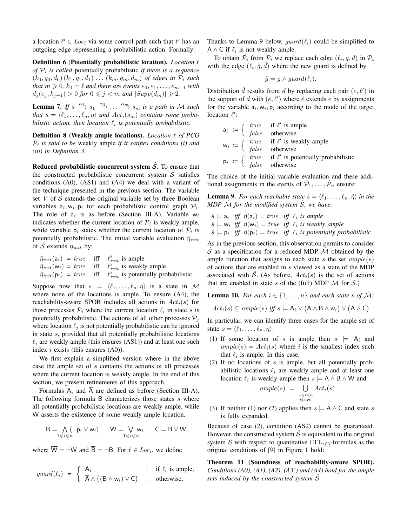a location  $\ell' \in Loc_i$  via some control path such that  $\ell'$  has an outgoing edge representing a probabilistic action. Formally:

Definition 6 (Potentially probabilistic location). *Location*  $\ell$ *of*  $P_i$  *is called* potentially probabilistic *if there is a sequence*  $(k_0, g_0, d_0)$   $(k_1, g_1, d_1)$   $\dots$   $(k_m, g_m, d_m)$  *of edges in*  $\mathcal{P}_i$  *such that*  $m \geq 0$ ,  $k_0 = \ell$  *and there are events*  $e_0, e_1, \ldots, e_{m-1}$  *with*  $d_j(e_j, k_{j+1}) > 0$  for  $0 \leq j < m$  and  $|Supp(d_m)| \geq 2$ .

**Lemma 7.** If  $s \xrightarrow{\alpha_1} s_1 \xrightarrow{\alpha_2} \ldots \xrightarrow{\alpha_m} s_m$  is a path in M such *that*  $s = \langle \ell_1, \ldots, \ell_n, \eta \rangle$  *and*  $Act_i(s_m)$  *contains some probabilistic action, then location*  $\ell_i$  *is potentially probabilistic.* 

Definition 8 (Weakly ample locations). *Location*  $\ell$  of PCG Pi *is said to be* weakly ample *if it satifies conditions (i) and (iii) in Definition 3.*

Reduced probabilistic concurrent system  $\hat{S}$ . To ensure that the constructed probabilistic concurrent system  $\hat{S}$  satisfies conditions (A0), (AS1) and (A4) we deal with a variant of the technique presented in the previous section. The variable set  $\hat{V}$  of  $\hat{S}$  extends the original variable set by three Boolean variables  $a_i, w_i, p_i$  for each probabilistic control graph  $\mathcal{P}_i$ . The role of  $a_i$  is as before (Section III-A). Variable  $w_i$ indicates whether the current location of  $P_i$  is weakly ample, while variable  $p_i$  states whether the current location of  $\mathcal{P}_i$  is potentially probabilistic. The initial variable evaluation  $\hat{\eta}_{init}$ of S extends  $\eta_{init}$  by:

$$
\hat{\eta}_{init}(\mathbf{a}_i) = true \quad \text{iff} \quad \ell_{init}^i \text{ is ample}
$$
\n
$$
\hat{\eta}_{init}(\mathbf{w}_i) = true \quad \text{iff} \quad \ell_{init}^i \text{ is weakly ample}
$$
\n
$$
\hat{\eta}_{init}(\mathbf{p}_i) = true \quad \text{iff} \quad \ell_{init}^i \text{ is potentially probabilistic}
$$

Suppose now that  $s = \langle \ell_1, \ldots, \ell_n, \eta \rangle$  is a state in M where none of the locations is ample. To ensure (A4), the reachability-aware SPOR includes all actions in  $Act_i(s)$  for those processes  $P_i$  where the current location  $\ell_i$  in state s is potentially probabilistic. The actions of all other processes  $P_i$ where location  $\ell_i$  is not potentially probabilistic can be ignored in state s, provided that all potentially probabilistic locations  $\ell_i$  are weakly ample (this ensures (AS1)) and at least one such index  $i$  exists (this ensures  $(A0)$ ).

We first explain a simplified version where in the above case the ample set of s contains the actions of all processes where the current location is weakly ample. In the end of this section, we present refinements of this approach.

Formulas  $A_i$  and  $\overline{A}$  are defined as before (Section III-A). The following formula B characterizes those states  $s$  where all potentially probabilistic locations are weakly ample, while W asserts the existence of some weakly ample location.

$$
\mathsf{B} = \bigwedge_{1 \leqslant i \leqslant n} (\neg \mathsf{p}_i \vee \mathsf{w}_i) \qquad \mathsf{W} = \bigvee_{1 \leqslant i \leqslant n} \mathsf{w}_i \qquad \mathsf{C} = \overline{\mathsf{B}} \vee \overline{\mathsf{W}}
$$

where  $W = \neg W$  and  $B = \neg B$ . For  $\ell \in Loc_i$ , we define

$$
guard(\ell_i) = \begin{cases} A_i & \text{: if } \ell_i \text{ is ample,} \\ \overline{A} \wedge ((B \wedge w_i) \vee C) & \text{: otherwise.} \end{cases}
$$

Thanks to Lemma 9 below, quard( $\ell_i$ ) could be simplified to  $\overline{A} \wedge C$  if  $\ell_i$  is not weakly ample.

To obtain  $\hat{\mathcal{P}}_i$  from  $\mathcal{P}_i$  we replace each edge  $(\ell_i, g, d)$  in  $\mathcal{P}_i$ with the edge  $(\ell_i, \hat{g}, \hat{d})$  where the new guard is defined by

$$
\hat{g} = g \wedge guard(\ell_i).
$$

Distribution  $\hat{d}$  results from d by replacing each pair  $(e, \ell')$  in the support of d with  $(\hat{e}, \ell')$  where  $\hat{e}$  extends e by assignments for the variable  $a_i, w_i, p_i$  according to the mode of the target location  $\ell$ :

$$
a_i := \left\{ \begin{array}{ll} true & \text{if } \ell' \text{ is ample} \\ false & \text{otherwise} \end{array} \right.
$$
  

$$
w_i := \left\{ \begin{array}{ll} true & \text{if } \ell' \text{ is weakly ample} \\ false & \text{otherwise} \end{array} \right.
$$
  

$$
p_i := \left\{ \begin{array}{ll} true & \text{if } \ell' \text{ is potentially probabilistic} \\ false & \text{otherwise} \end{array} \right.
$$

The choice of the initial variable evaluation and these additional assignments in the events of  $\hat{\mathcal{P}}_1, \ldots, \hat{\mathcal{P}}_n$  ensure:

**Lemma 9.** For each reachable state  $\hat{s} = \langle \ell_1, \ldots, \ell_n, \hat{\eta} \rangle$  in the *MDP*  $\overline{\mathcal{M}}$  *for the modified system*  $\hat{\mathcal{S}}$ *, we have:* 

$$
\hat{s} \models a_i
$$
 iff  $\hat{\eta}(a_i) = true$  iff  $\ell_i$  is ample  $\hat{s} \models w_i$  iff  $\hat{\eta}(w_i) = true$  iff  $\ell_i$  is weakly ample  $\hat{s} \models p_i$  iff  $\hat{\eta}(p_i) = true$  iff  $\ell_i$  is potentially probabilistic.

As in the previous section, this observation permits to consider  $\hat{S}$  as a specification for a reduced MDP  $\hat{\mathcal{M}}$  obtained by the ample function that assigns to each state s the set  $ample(s)$ of actions that are enabled in s viewed as a state of the MDP associated with  $\tilde{S}$ . (As before,  $Act_i(s)$  is the set of actions that are enabled in state s of the (full) MDP  $\mathcal M$  for  $\mathcal S$ .)

**Lemma 10.** For each  $i \in \{1, \ldots, n\}$  and each state s of  $\mathcal{M}$ :

$$
Act_i(s) \subseteq ample(s) \text{ iff } s \models A_i \vee (\overline{A} \wedge B \wedge w_i) \vee (\overline{A} \wedge C)
$$

In particular, we can identify three cases for the ample set of state  $s = \langle \ell_1, \ldots, \ell_n, \eta \rangle$ :

- (1) If some location of s is ample then  $s \models A_i$  and  $ample(s) = Act<sub>i</sub>(s)$  where i is the smallest index such that  $\ell_i$  is ample. In this case,
- (2) If no locations of s is ample, but all potentially probabilistic locations  $\ell_i$  are weakly ample and at least one location  $\ell_i$  is weakly ample then  $s \models \overline{A} \wedge B \wedge W$  and

$$
ample(s) = \bigcup_{\substack{1 \leq i \leq n \\ s \models \mathsf{w}_i}} Act_i(s)
$$

(3) If neither (1) nor (2) applies then  $s \models \overline{A} \wedge C$  and state s is fully expanded.

Because of case (2), condition (AS2) cannot be guaranteed. However, the constructed system  $\hat{S}$  is equivalent to the original system S with respect to quantitative  $LTL_{\cap}$ -formulas as the original conditions of [9] in Figure 1 hold:

Theorem 11 (Soundness of reachability-aware SPOR). *Conditions (A0), (A1), (A2), (A3') and (A4) hold for the ample sets induced by the constructed system* Sˆ*.*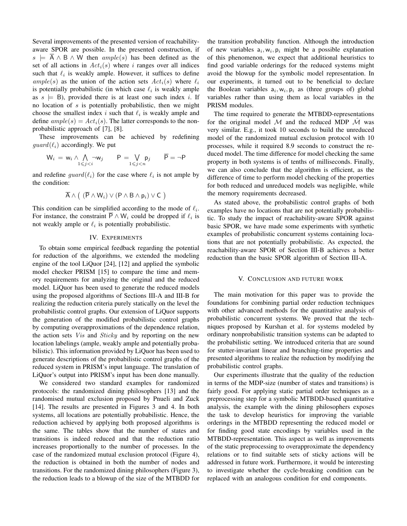Several improvements of the presented version of reachabilityaware SPOR are possible. In the presented construction, if  $s \models A \land B \land W$  then  $ample(s)$  has been defined as the set of all actions in  $Act_i(s)$  where i ranges over all indices such that  $\ell_i$  is weakly ample. However, it suffices to define  $ample(s)$  as the union of the action sets  $Act_i(s)$  where  $\ell_i$ is potentially probabilistic (in which case  $\ell_i$  is weakly ample as  $s \models B$ , provided there is at least one such index *i*. If no location of  $s$  is potentially probabilistic, then we might choose the smallest index i such that  $\ell_i$  is weakly ample and define  $ample(s) = Act<sub>i</sub>(s)$ . The latter corresponds to the nonprobabilistic approach of [7], [8].

These improvements can be achieved by redefining  $quad(\ell_i)$  accordingly. We put

$$
W_i = w_i \wedge \bigwedge_{1 \leq j < i} \neg w_j \qquad P = \bigvee_{1 \leq j < n} p_j \qquad \overline{P} = \neg P
$$

and redefine  $guard(\ell_i)$  for the case where  $\ell_i$  is not ample by the condition:

$$
\overline{A} \wedge (\ (\overline{P} \wedge W_i) \vee (P \wedge B \wedge p_i) \vee C)
$$

This condition can be simplified according to the mode of  $\ell_i$ . For instance, the constraint  $\overline{P} \wedge W_i$  could be dropped if  $\ell_i$  is not weakly ample or  $\ell_i$  is potentially probabilistic.

## IV. EXPERIMENTS

To obtain some empirical feedback regarding the potential for reduction of the algorithms, we extended the modeling engine of the tool LiQuor [24], [12] and applied the symbolic model checker PRISM [15] to compare the time and memory requirements for analyzing the original and the reduced model. LiQuor has been used to generate the reduced models using the proposed algorithms of Sections III-A and III-B for realizing the reduction criteria purely statically on the level the probabilistic control graphs. Our extension of LiQuor supports the generation of the modified probabilistic control graphs by computing overapproximations of the dependence relation, the action sets *Vis* and *Sticky* and by reporting on the new location labelings (ample, weakly ample and potentially probabilistic). This information provided by LiQuor has been used to generate descriptions of the probabilistic control graphs of the reduced system in PRISM's input language. The translation of LiQuor's output into PRISM's input has been done manually.

We considered two standard examples for randomized protocols: the randomized dining philosophers [13] and the randomised mutual exclusion proposed by Pnueli and Zuck [14]. The results are presented in Figures 3 and 4. In both systems, all locations are potentially probabilistic. Hence, the reduction achieved by applying both proposed algorithms is the same. The tables show that the number of states and transitions is indeed reduced and that the reduction ratio increases proportionally to the number of processes. In the case of the randomized mutual exclusion protocol (Figure 4), the reduction is obtained in both the number of nodes and transitions. For the randomized dining philosophers (Figure 3), the reduction leads to a blowup of the size of the MTBDD for the transition probability function. Although the introduction of new variables  $a_i, w_i, p_i$  might be a possible explanation of this phenomenon, we expect that additional heuristics to find good variable orderings for the reduced systems might avoid the blowup for the symbolic model representation. In our experiments, it turned out to be beneficial to declare the Boolean variables  $a_i, w_i, p_i$  as (three groups of) global variables rather than using them as local variables in the PRISM modules.

The time required to generate the MTBDD-representations for the original model M and the reduced MDP  $\hat{M}$  was very similar. E.g., it took 10 seconds to build the unreduced model of the randomized mutual exclusion protocol with 10 processes, while it required 8.9 seconds to construct the reduced model. The time difference for model checking the same property in both systems is of tenths of milliseconds. Finally, we can also conclude that the algorithm is efficient, as the difference of time to perform model checking of the properties for both reduced and unreduced models was negligible, while the memory requirements decreased.

As stated above, the probabilistic control graphs of both examples have no locations that are not potentially probabilistic. To study the impact of reachability-aware SPOR against basic SPOR, we have made some experiments with synthetic examples of probabilistic concurrent systems containing locations that are not potentially probabilistic. As expected, the reachability-aware SPOR of Section III-B achieves a better reduction than the basic SPOR algorithm of Section III-A.

#### V. CONCLUSION AND FUTURE WORK

The main motivation for this paper was to provide the foundations for combining partial order reduction techniques with other advanced methods for the quantitative analysis of probabilistic concurrent systems. We proved that the techniques proposed by Kurshan et al. for systems modeled by ordinary nonprobabilistic transition systems can be adapted to the probabilistic setting. We introduced criteria that are sound for stutter-invariant linear and branching-time properties and presented algorithms to realize the reduction by modifying the probabilistic control graphs.

Our experiments illustrate that the quality of the reduction in terms of the MDP-size (number of states and transitions) is fairly good. For applying static partial order techniques as a preprocessing step for a symbolic MTBDD-based quantitative analysis, the example with the dining philosophers exposes the task to develop heuristics for improving the variable orderings in the MTBDD representing the reduced model or for finding good state encodings by variables used in the MTBDD-representation. This aspect as well as improvements of the static preprocessing to overapproximate the dependency relations or to find suitable sets of sticky actions will be addressed in future work. Furthermore, it would be interesting to investigate whether the cycle-breaking condition can be replaced with an analogous condition for end components.